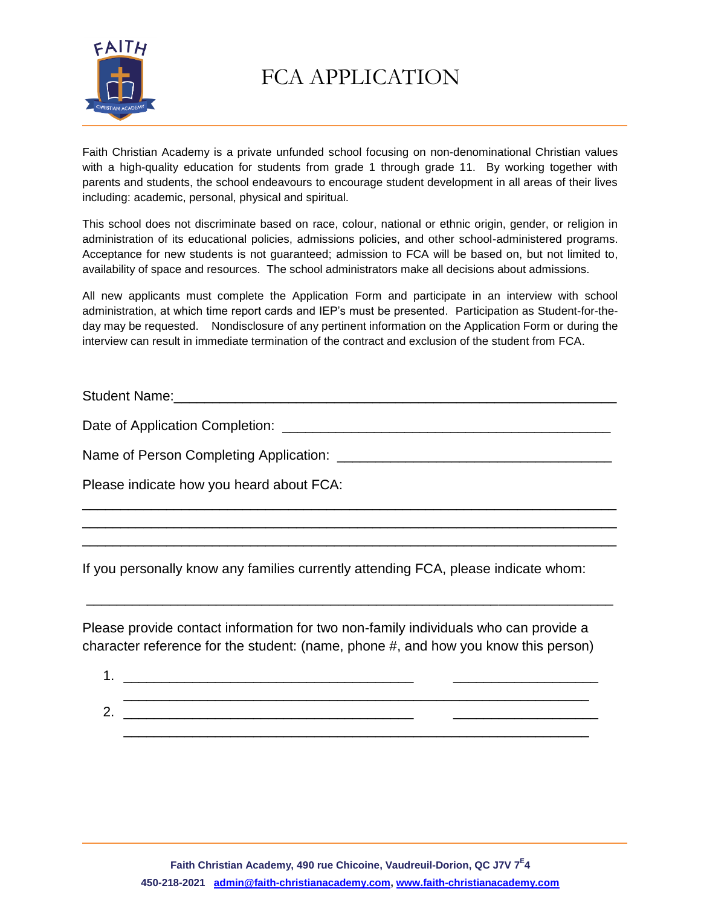

Faith Christian Academy is a private unfunded school focusing on non-denominational Christian values with a high-quality education for students from grade 1 through grade 11. By working together with parents and students, the school endeavours to encourage student development in all areas of their lives including: academic, personal, physical and spiritual.

This school does not discriminate based on race, colour, national or ethnic origin, gender, or religion in administration of its educational policies, admissions policies, and other school-administered programs. Acceptance for new students is not guaranteed; admission to FCA will be based on, but not limited to, availability of space and resources. The school administrators make all decisions about admissions.

All new applicants must complete the Application Form and participate in an interview with school administration, at which time report cards and IEP's must be presented. Participation as Student-for-theday may be requested. Nondisclosure of any pertinent information on the Application Form or during the interview can result in immediate termination of the contract and exclusion of the student from FCA.

Student Name:\_\_\_\_\_\_\_\_\_\_\_\_\_\_\_\_\_\_\_\_\_\_\_\_\_\_\_\_\_\_\_\_\_\_\_\_\_\_\_\_\_\_\_\_\_\_\_\_\_\_\_\_\_\_\_\_\_\_

\_\_\_\_\_\_\_\_\_\_\_\_\_\_\_\_\_\_\_\_\_\_\_\_\_\_\_\_\_\_\_\_\_\_\_\_\_\_\_\_\_\_\_\_\_\_\_\_\_\_\_\_\_\_\_\_\_\_\_\_\_\_\_\_\_\_\_\_\_\_ \_\_\_\_\_\_\_\_\_\_\_\_\_\_\_\_\_\_\_\_\_\_\_\_\_\_\_\_\_\_\_\_\_\_\_\_\_\_\_\_\_\_\_\_\_\_\_\_\_\_\_\_\_\_\_\_\_\_\_\_\_\_\_\_\_\_\_\_\_\_ \_\_\_\_\_\_\_\_\_\_\_\_\_\_\_\_\_\_\_\_\_\_\_\_\_\_\_\_\_\_\_\_\_\_\_\_\_\_\_\_\_\_\_\_\_\_\_\_\_\_\_\_\_\_\_\_\_\_\_\_\_\_\_\_\_\_\_\_\_\_

Date of Application Completion: \_\_\_\_\_\_\_\_\_\_\_\_\_\_\_\_\_\_\_\_\_\_\_\_\_\_\_\_\_\_\_\_\_\_\_\_\_\_\_\_\_\_\_

Name of Person Completing Application: \_\_\_\_\_\_\_\_\_\_\_\_\_\_\_\_\_\_\_\_\_\_\_\_\_\_\_\_\_\_\_\_\_\_\_\_

Please indicate how you heard about FCA:

If you personally know any families currently attending FCA, please indicate whom:

Please provide contact information for two non-family individuals who can provide a character reference for the student: (name, phone #, and how you know this person)

\_\_\_\_\_\_\_\_\_\_\_\_\_\_\_\_\_\_\_\_\_\_\_\_\_\_\_\_\_\_\_\_\_\_\_\_\_\_\_\_\_\_\_\_\_\_\_\_\_\_\_\_\_\_\_\_\_\_\_\_\_\_\_\_\_\_\_\_\_

1. \_\_\_\_\_\_\_\_\_\_\_\_\_\_\_\_\_\_\_\_\_\_\_\_\_\_\_\_\_\_\_\_\_\_\_\_\_\_ \_\_\_\_\_\_\_\_\_\_\_\_\_\_\_\_\_\_\_ \_\_\_\_\_\_\_\_\_\_\_\_\_\_\_\_\_\_\_\_\_\_\_\_\_\_\_\_\_\_\_\_\_\_\_\_\_\_\_\_\_\_\_\_\_\_\_\_\_\_\_\_\_\_\_\_\_\_\_\_\_  $2.$   $2.$ 

\_\_\_\_\_\_\_\_\_\_\_\_\_\_\_\_\_\_\_\_\_\_\_\_\_\_\_\_\_\_\_\_\_\_\_\_\_\_\_\_\_\_\_\_\_\_\_\_\_\_\_\_\_\_\_\_\_\_\_\_\_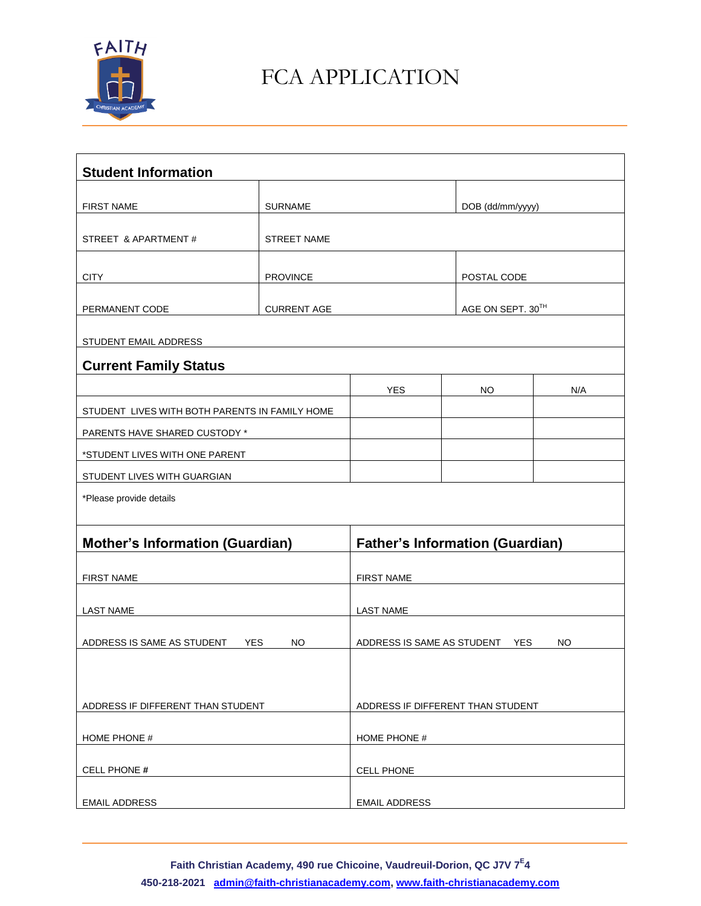

| <b>Student Information</b>                     |                    |                                                |           |                   |  |  |  |
|------------------------------------------------|--------------------|------------------------------------------------|-----------|-------------------|--|--|--|
|                                                |                    |                                                |           |                   |  |  |  |
| <b>FIRST NAME</b>                              |                    | <b>SURNAME</b>                                 |           | DOB (dd/mm/yyyy)  |  |  |  |
| STREET & APARTMENT#                            | <b>STREET NAME</b> |                                                |           |                   |  |  |  |
| <b>CITY</b>                                    | <b>PROVINCE</b>    |                                                |           | POSTAL CODE       |  |  |  |
|                                                |                    |                                                |           |                   |  |  |  |
| PERMANENT CODE                                 | <b>CURRENT AGE</b> |                                                |           | AGE ON SEPT. 30TH |  |  |  |
| STUDENT EMAIL ADDRESS                          |                    |                                                |           |                   |  |  |  |
| <b>Current Family Status</b>                   |                    |                                                |           |                   |  |  |  |
|                                                |                    | <b>YES</b>                                     | <b>NO</b> | N/A               |  |  |  |
| STUDENT LIVES WITH BOTH PARENTS IN FAMILY HOME |                    |                                                |           |                   |  |  |  |
| PARENTS HAVE SHARED CUSTODY *                  |                    |                                                |           |                   |  |  |  |
| *STUDENT LIVES WITH ONE PARENT                 |                    |                                                |           |                   |  |  |  |
| STUDENT LIVES WITH GUARGIAN                    |                    |                                                |           |                   |  |  |  |
| *Please provide details                        |                    |                                                |           |                   |  |  |  |
|                                                |                    |                                                |           |                   |  |  |  |
| <b>Mother's Information (Guardian)</b>         |                    | <b>Father's Information (Guardian)</b>         |           |                   |  |  |  |
| <b>FIRST NAME</b>                              |                    | <b>FIRST NAME</b>                              |           |                   |  |  |  |
| <b>LAST NAME</b>                               |                    | <b>LAST NAME</b>                               |           |                   |  |  |  |
|                                                |                    |                                                |           |                   |  |  |  |
| ADDRESS IS SAME AS STUDENT<br><b>YES</b><br>NO |                    | ADDRESS IS SAME AS STUDENT<br>NO<br><b>YES</b> |           |                   |  |  |  |
|                                                |                    |                                                |           |                   |  |  |  |
|                                                |                    |                                                |           |                   |  |  |  |
| ADDRESS IF DIFFERENT THAN STUDENT              |                    | ADDRESS IF DIFFERENT THAN STUDENT              |           |                   |  |  |  |
| HOME PHONE #                                   |                    | HOME PHONE #                                   |           |                   |  |  |  |
| CELL PHONE #                                   |                    | <b>CELL PHONE</b>                              |           |                   |  |  |  |
|                                                |                    |                                                |           |                   |  |  |  |
| <b>EMAIL ADDRESS</b>                           |                    | <b>EMAIL ADDRESS</b>                           |           |                   |  |  |  |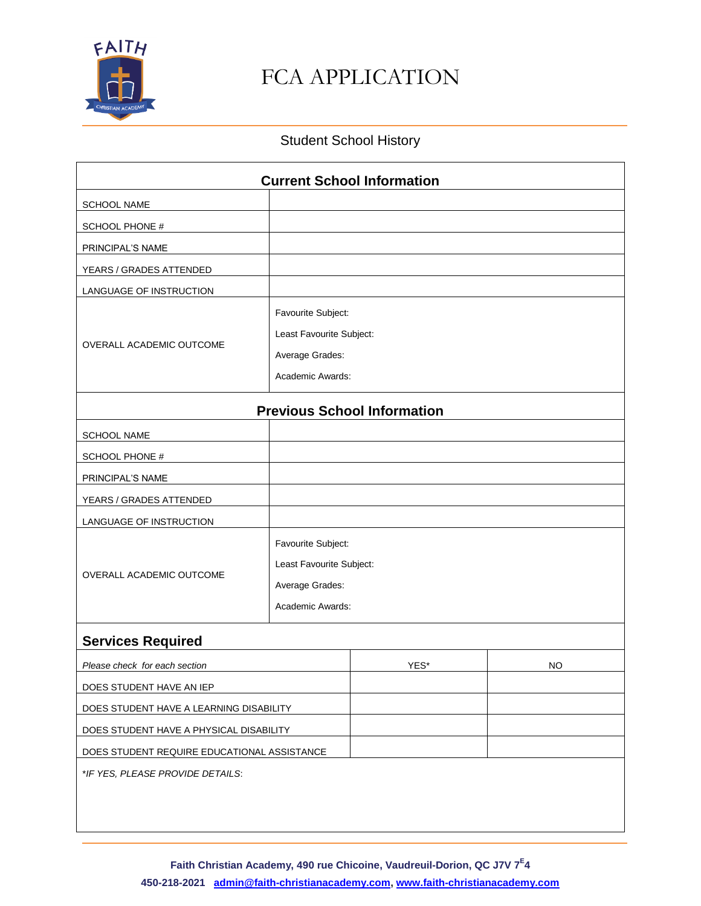

#### Student School History

| <b>Current School Information</b>           |                          |      |    |  |  |  |
|---------------------------------------------|--------------------------|------|----|--|--|--|
| <b>SCHOOL NAME</b>                          |                          |      |    |  |  |  |
| SCHOOL PHONE #                              |                          |      |    |  |  |  |
| PRINCIPAL'S NAME                            |                          |      |    |  |  |  |
| YEARS / GRADES ATTENDED                     |                          |      |    |  |  |  |
| LANGUAGE OF INSTRUCTION                     |                          |      |    |  |  |  |
| OVERALL ACADEMIC OUTCOME                    | Favourite Subject:       |      |    |  |  |  |
|                                             | Least Favourite Subject: |      |    |  |  |  |
|                                             | Average Grades:          |      |    |  |  |  |
|                                             | Academic Awards:         |      |    |  |  |  |
| <b>Previous School Information</b>          |                          |      |    |  |  |  |
| <b>SCHOOL NAME</b>                          |                          |      |    |  |  |  |
| SCHOOL PHONE #                              |                          |      |    |  |  |  |
| PRINCIPAL'S NAME                            |                          |      |    |  |  |  |
| YEARS / GRADES ATTENDED                     |                          |      |    |  |  |  |
| LANGUAGE OF INSTRUCTION                     |                          |      |    |  |  |  |
|                                             | Favourite Subject:       |      |    |  |  |  |
|                                             | Least Favourite Subject: |      |    |  |  |  |
| OVERALL ACADEMIC OUTCOME                    | Average Grades:          |      |    |  |  |  |
|                                             | Academic Awards:         |      |    |  |  |  |
| <b>Services Required</b>                    |                          |      |    |  |  |  |
| Please check for each section               |                          | YES* | NO |  |  |  |
| DOES STUDENT HAVE AN IEP                    |                          |      |    |  |  |  |
| DOES STUDENT HAVE A LEARNING DISABILITY     |                          |      |    |  |  |  |
| DOES STUDENT HAVE A PHYSICAL DISABILITY     |                          |      |    |  |  |  |
| DOES STUDENT REQUIRE EDUCATIONAL ASSISTANCE |                          |      |    |  |  |  |
| *IF YES, PLEASE PROVIDE DETAILS:            |                          |      |    |  |  |  |
|                                             |                          |      |    |  |  |  |
|                                             |                          |      |    |  |  |  |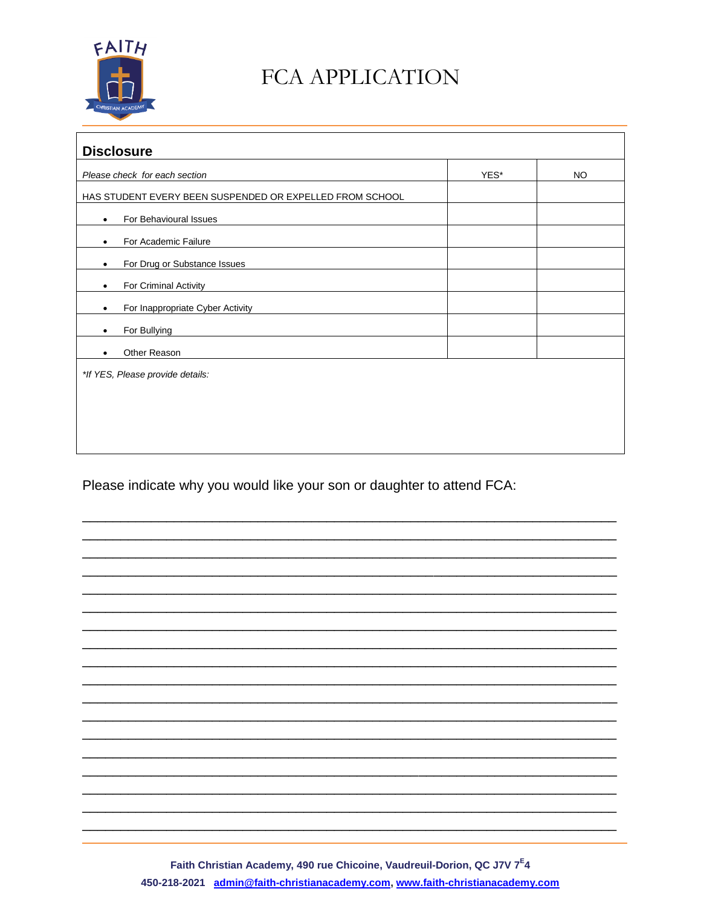

| <b>Disclosure</b>                                        |      |           |  |  |  |
|----------------------------------------------------------|------|-----------|--|--|--|
| Please check for each section                            | YES* | <b>NO</b> |  |  |  |
| HAS STUDENT EVERY BEEN SUSPENDED OR EXPELLED FROM SCHOOL |      |           |  |  |  |
| For Behavioural Issues<br>$\bullet$                      |      |           |  |  |  |
| For Academic Failure<br>٠                                |      |           |  |  |  |
| For Drug or Substance Issues<br>٠                        |      |           |  |  |  |
| For Criminal Activity<br>٠                               |      |           |  |  |  |
| For Inappropriate Cyber Activity<br>٠                    |      |           |  |  |  |
| For Bullying<br>$\bullet$                                |      |           |  |  |  |
| Other Reason<br>٠                                        |      |           |  |  |  |
| *If YES, Please provide details:                         |      |           |  |  |  |
|                                                          |      |           |  |  |  |
|                                                          |      |           |  |  |  |
|                                                          |      |           |  |  |  |
|                                                          |      |           |  |  |  |

Please indicate why you would like your son or daughter to attend FCA:



Faith Christian Academy, 490 rue Chicoine, Vaudreuil-Dorion, QC J7V 7<sup>E</sup>4 450-218-2021 admin@faith-christianacademy.com, www.faith-christianacademy.com